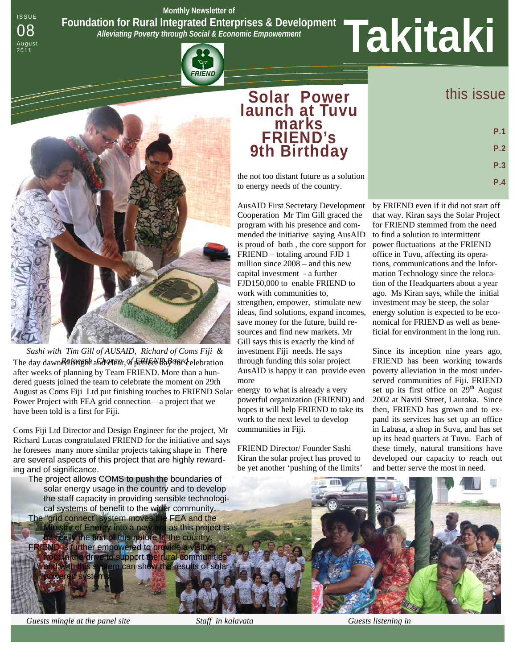ISSUE **Monthly Newsletter of Foundation for Rural Integrated Enterprises & Development**  *Alleviating Poverty through Social & Economic Empowerment*  Foundation for Rural Integrated Enterprises & Development<br>08<br>August Alleviating Poverty through Social & Economic Empowerment<br>2011

FRIEND



August<br>2011

August as Coms Fiji Ltd put finishing touches to FRIEND Solar energy to what is already a very *Sashi with Tim Gill of AUSAID, Richard of Coms Fiji &*  The day dawned bright and clear, of Feried Uag of relebration after weeks of planning by Team FRIEND. More than a hundered guests joined the team to celebrate the moment on 29th Power Project with FEA grid connection—a project that we have been told is a first for Fiji.

Coms Fiji Ltd Director and Design Engineer for the project, Mr Richard Lucas congratulated FRIEND for the initiative and says he foresees many more similar projects taking shape in There are several aspects of this project that are highly rewarding and of significance.

The project allows COMS to push the boundaries of solar energy usage in the country and to develop the staff capacity in providing sensible technological systems of benefit to the wider community. The "grid connect" system moves the FEA and the inistry of Energy into a new era as this project is sically the first of this nature in the country. FRIEND is further empowered to provide a visible. front in the drive to support the rural communities and with this system can show the results of solar powered systems.

## **Solar Power launch at Tuvu marks FRIEND's 9th Birthday**

the not too distant future as a solution to energy needs of the country.

AusAID First Secretary Development Cooperation Mr Tim Gill graced the program with his presence and commended the initiative saying AusAID is proud of both , the core support for FRIEND – totaling around FJD 1 million since 2008 – and this new capital investment - a further FJD150,000 to enable FRIEND to work with communities to, strengthen, empower, stimulate new ideas, find solutions, expand incomes, save money for the future, build resources and find new markets. Mr Gill says this is exactly the kind of investment Fiji needs. He says through funding this solar project AusAID is happy it can provide even more

powerful organization (FRIEND) and hopes it will help FRIEND to take its work to the next level to develop communities in Fiji.

FRIEND Director/ Founder Sashi Kiran the solar project has proved to be yet another 'pushing of the limits'

# this issue

| P.1 |
|-----|
| P.2 |
| P.3 |
| P.4 |

by FRIEND even if it did not start off that way. Kiran says the Solar Project for FRIEND stemmed from the need to find a solution to intermittent power fluctuations at the FRIEND office in Tuvu, affecting its operations, communications and the Information Technology since the relocation of the Headquarters about a year ago. Ms Kiran says, while the initial investment may be steep, the solar energy solution is expected to be economical for FRIEND as well as beneficial for environment in the long run.

Since its inception nine years ago, FRIEND has been working towards poverty alleviation in the most underserved communities of Fiji. FRIEND set up its first office on 29<sup>th</sup> August 2002 at Naviti Street, Lautoka. Since then, FRIEND has grown and to expand its services has set up an office in Labasa, a shop in Suva, and has set up its head quarters at Tuvu. Each of these timely, natural transitions have developed our capacity to reach out and better serve the most in need.

*Guests mingle at the panel site* Staff in kalavata Guests listening in *Guests listening in* 

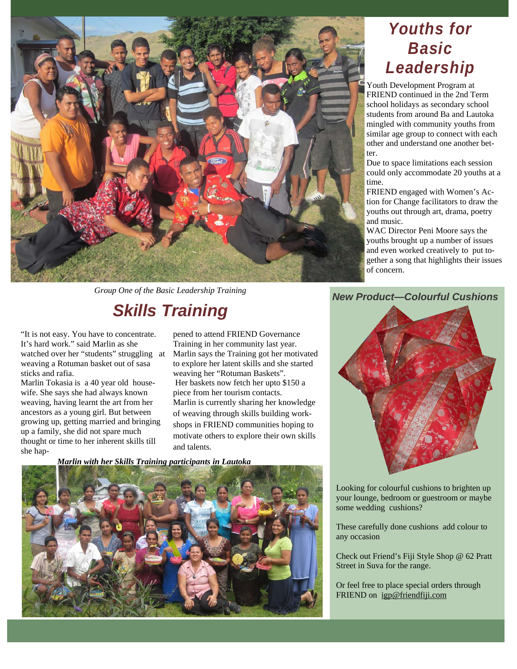

*Group One of the Basic Leadership Training* 

# *Skills Training*

"It is not easy. You have to concentrate. It's hard work." said Marlin as she watched over her "students" struggling at weaving a Rotuman basket out of sasa sticks and rafia.

Marlin Tokasia is a 40 year old housewife. She says she had always known weaving, having learnt the art from her ancestors as a young girl. But between growing up, getting married and bringing up a family, she did not spare much thought or time to her inherent skills till she happened to attend FRIEND Governance Training in her community last year. Marlin says the Training got her motivated to explore her latent skills and she started weaving her "Rotuman Baskets". Her baskets now fetch her upto \$150 a piece from her tourism contacts. Marlin is currently sharing her knowledge of weaving through skills building workshops in FRIEND communities hoping to motivate others to explore their own skills and talents.

*Marlin with her Skills Training participants in Lautoka* 



## *Youths for Basic Leadership*

Youth Development Program at FRIEND continued in the 2nd Term school holidays as secondary school students from around Ba and Lautoka mingled with community youths from similar age group to connect with each other and understand one another better.

Due to space limitations each session could only accommodate 20 youths at a time.

FRIEND engaged with Women's Action for Change facilitators to draw the youths out through art, drama, poetry and music.

WAC Director Peni Moore says the youths brought up a number of issues and even worked creatively to put together a song that highlights their issues of concern.

### *New Product—Colourful Cushions*



Looking for colourful cushions to brighten up your lounge, bedroom or guestroom or maybe some wedding cushions?

These carefully done cushions add colour to any occasion

Check out Friend's Fiji Style Shop @ 62 Pratt Street in Suva for the range.

Or feel free to place special orders through FRIEND on igp@friendfiji.com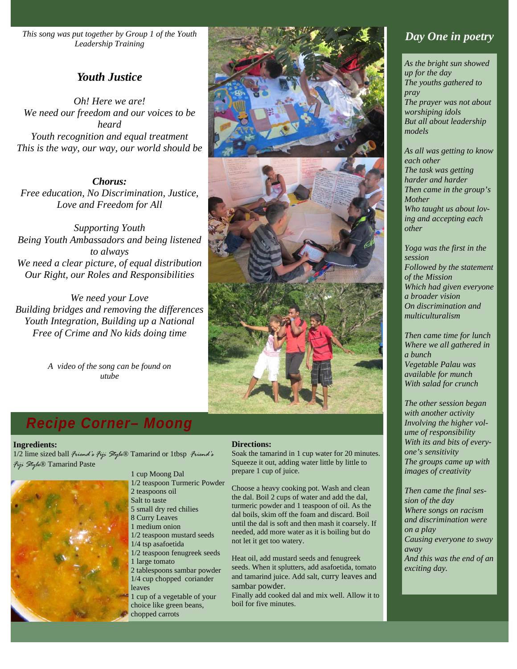*This song was put together by Group 1 of the Youth Leadership Training* 

## *Youth Justice*

*Oh! Here we are! We need our freedom and our voices to be heard Youth recognition and equal treatment This is the way, our way, our world should be* 

*Chorus: Free education, No Discrimination, Justice, Love and Freedom for All* 

*Supporting Youth Being Youth Ambassadors and being listened to always We need a clear picture, of equal distribution Our Right, our Roles and Responsibilities* 

*We need your Love Building bridges and removing the differences Youth Integration, Building up a National Free of Crime and No kids doing time* 

> *A video of the song can be found on utube*





## *Recipe Corner– Moong*

### **Ingredients:**

1/2 lime sized ball *Friend's Fiji Style*® Tamarind or 1tbsp *Friend's Fiji Style*® Tamarind Paste



1 cup Moong Dal 1/2 teaspoon Turmeric Powder 2 teaspoons oil Salt to taste 5 small dry red chilies 8 Curry Leaves 1 medium onion 1/2 teaspoon mustard seeds 1/4 tsp asafoetida 1/2 teaspoon fenugreek seeds 1 large tomato 2 tablespoons sambar powder 1/4 cup chopped coriander leaves 1 cup of a vegetable of your choice like green beans, chopped carrots

### **Directions:**

Soak the tamarind in 1 cup water for 20 minutes. Squeeze it out, adding water little by little to prepare 1 cup of juice.

Choose a heavy cooking pot. Wash and clean the dal. Boil 2 cups of water and add the dal, turmeric powder and 1 teaspoon of oil. As the dal boils, skim off the foam and discard. Boil until the dal is soft and then mash it coarsely. If needed, add more water as it is boiling but do not let it get too watery.

Heat oil, add mustard seeds and fenugreek seeds. When it splutters, add asafoetida, tomato and tamarind juice. Add salt, curry leaves and sambar powder.

Finally add cooked dal and mix well. Allow it to boil for five minutes.

## *Day One in poetry*

*As the bright sun showed up for the day The youths gathered to pray The prayer was not about worshiping idols But all about leadership models* 

*As all was getting to know each other The task was getting harder and harder Then came in the group's Mother Who taught us about loving and accepting each other* 

*Yoga was the first in the session Followed by the statement of the Mission Which had given everyone a broader vision On discrimination and multiculturalism* 

*Then came time for lunch Where we all gathered in a bunch Vegetable Palau was available for munch With salad for crunch* 

*The other session began with another activity Involving the higher volume of responsibility With its and bits of everyone's sensitivity The groups came up with images of creativity* 

*Then came the final session of the day Where songs on racism and discrimination were on a play Causing everyone to sway away And this was the end of an exciting day.*